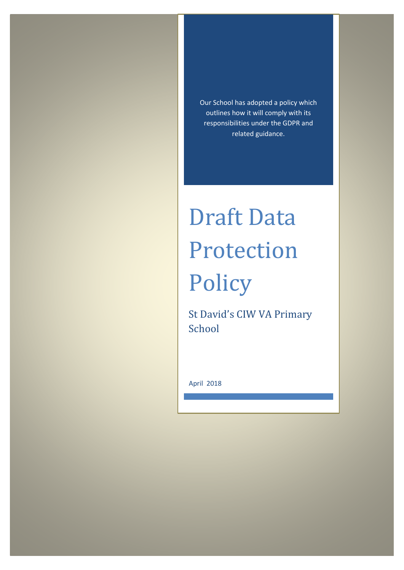Our School has adopted a policy which outlines how it will comply with its responsibilities under the GDPR and related guidance.

# Draft Data Protection Policy

St David's CIW VA Primary School

April 2018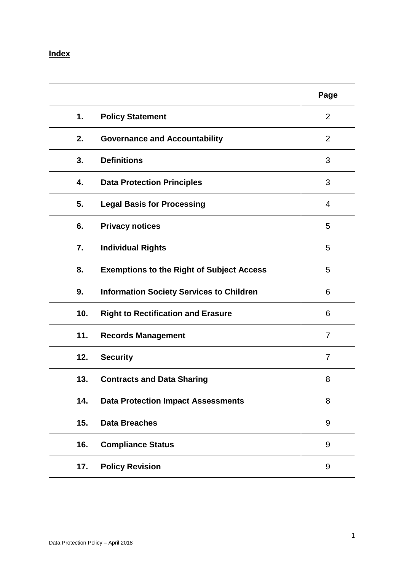## **Index**

|     |                                                  | Page           |
|-----|--------------------------------------------------|----------------|
| 1.  | <b>Policy Statement</b>                          | $\overline{2}$ |
| 2.  | <b>Governance and Accountability</b>             | 2              |
| 3.  | <b>Definitions</b>                               | 3              |
| 4.  | <b>Data Protection Principles</b>                | 3              |
| 5.  | <b>Legal Basis for Processing</b>                | 4              |
| 6.  | <b>Privacy notices</b>                           | 5              |
| 7.  | <b>Individual Rights</b>                         | 5              |
| 8.  | <b>Exemptions to the Right of Subject Access</b> | 5              |
| 9.  | <b>Information Society Services to Children</b>  | 6              |
| 10. | <b>Right to Rectification and Erasure</b>        | 6              |
| 11. | <b>Records Management</b>                        | 7              |
| 12. | <b>Security</b>                                  | $\overline{7}$ |
| 13. | <b>Contracts and Data Sharing</b>                | 8              |
| 14. | <b>Data Protection Impact Assessments</b>        | 8              |
| 15. | <b>Data Breaches</b>                             | 9              |
| 16. | <b>Compliance Status</b>                         | 9              |
| 17. | <b>Policy Revision</b>                           | 9              |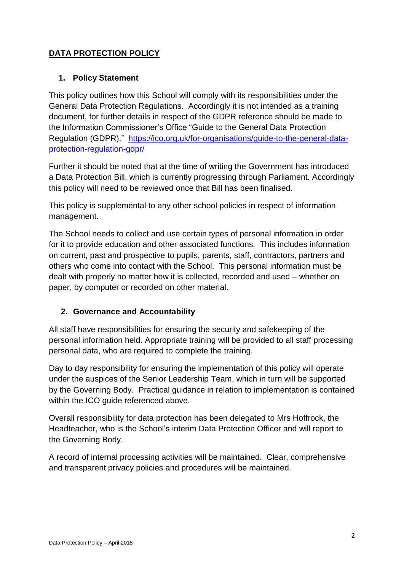## **DATA PROTECTION POLICY**

#### **1. Policy Statement**

This policy outlines how this School will comply with its responsibilities under the General Data Protection Regulations. Accordingly it is not intended as a training document, for further details in respect of the GDPR reference should be made to the Information Commissioner's Office "Guide to the General Data Protection Regulation (GDPR)." [https://ico.org.uk/for-organisations/guide-to-the-general-data](https://ico.org.uk/for-organisations/guide-to-the-general-data-protection-regulation-gdpr/)[protection-regulation-gdpr/](https://ico.org.uk/for-organisations/guide-to-the-general-data-protection-regulation-gdpr/)

Further it should be noted that at the time of writing the Government has introduced a Data Protection Bill, which is currently progressing through Parliament. Accordingly this policy will need to be reviewed once that Bill has been finalised.

This policy is supplemental to any other school policies in respect of information management.

The School needs to collect and use certain types of personal information in order for it to provide education and other associated functions. This includes information on current, past and prospective to pupils, parents, staff, contractors, partners and others who come into contact with the School. This personal information must be dealt with properly no matter how it is collected, recorded and used – whether on paper, by computer or recorded on other material.

#### **2. Governance and Accountability**

All staff have responsibilities for ensuring the security and safekeeping of the personal information held. Appropriate training will be provided to all staff processing personal data, who are required to complete the training.

Day to day responsibility for ensuring the implementation of this policy will operate under the auspices of the Senior Leadership Team, which in turn will be supported by the Governing Body. Practical guidance in relation to implementation is contained within the ICO guide referenced above.

Overall responsibility for data protection has been delegated to Mrs Hoffrock, the Headteacher, who is the School's interim Data Protection Officer and will report to the Governing Body.

A record of internal processing activities will be maintained. Clear, comprehensive and transparent privacy policies and procedures will be maintained.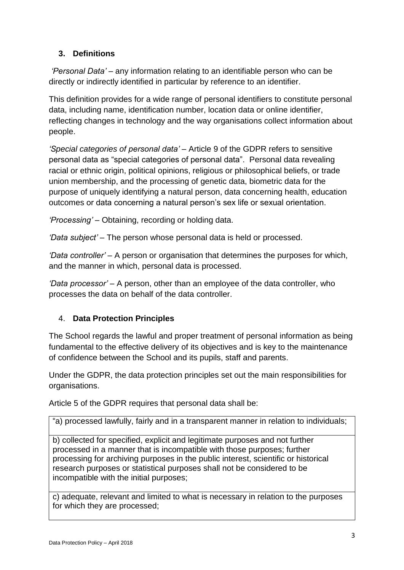## **3. Definitions**

*'Personal Data' –* any information relating to an identifiable person who can be directly or indirectly identified in particular by reference to an identifier.

This definition provides for a wide range of personal identifiers to constitute personal data, including name, identification number, location data or online identifier, reflecting changes in technology and the way organisations collect information about people.

*'Special categories of personal data'* – Article 9 of the GDPR refers to sensitive personal data as "special categories of personal data". Personal data revealing racial or ethnic origin, political opinions, religious or philosophical beliefs, or trade union membership, and the processing of genetic data, biometric data for the purpose of uniquely identifying a natural person, data concerning health, education outcomes or data concerning a natural person's sex life or sexual orientation.

*'Processing' –* Obtaining, recording or holding data.

*'Data subject' –* The person whose personal data is held or processed.

*'Data controller' –* A person or organisation that determines the purposes for which, and the manner in which, personal data is processed.

*'Data processor' –* A person, other than an employee of the data controller, who processes the data on behalf of the data controller.

#### 4. **Data Protection Principles**

The School regards the lawful and proper treatment of personal information as being fundamental to the effective delivery of its objectives and is key to the maintenance of confidence between the School and its pupils, staff and parents.

Under the GDPR, the data protection principles set out the main responsibilities for organisations.

Article 5 of the GDPR requires that personal data shall be:

"a) processed lawfully, fairly and in a transparent manner in relation to individuals;

b) collected for specified, explicit and legitimate purposes and not further processed in a manner that is incompatible with those purposes; further processing for archiving purposes in the public interest, scientific or historical research purposes or statistical purposes shall not be considered to be incompatible with the initial purposes;

c) adequate, relevant and limited to what is necessary in relation to the purposes for which they are processed;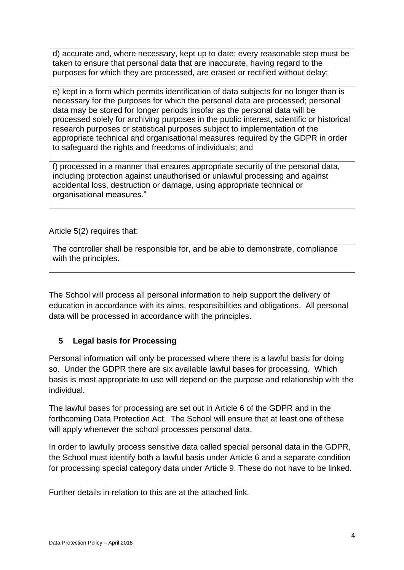d) accurate and, where necessary, kept up to date; every reasonable step must be taken to ensure that personal data that are inaccurate, having regard to the purposes for which they are processed, are erased or rectified without delay;

e) kept in a form which permits identification of data subjects for no longer than is necessary for the purposes for which the personal data are processed; personal data may be stored for longer periods insofar as the personal data will be processed solely for archiving purposes in the public interest, scientific or historical research purposes or statistical purposes subject to implementation of the appropriate technical and organisational measures required by the GDPR in order to safeguard the rights and freedoms of individuals; and

f) processed in a manner that ensures appropriate security of the personal data, including protection against unauthorised or unlawful processing and against accidental loss, destruction or damage, using appropriate technical or organisational measures."

Article 5(2) requires that:

The controller shall be responsible for, and be able to demonstrate, compliance with the principles.

The School will process all personal information to help support the delivery of education in accordance with its aims, responsibilities and obligations. All personal data will be processed in accordance with the principles.

#### **5 Legal basis for Processing**

Personal information will only be processed where there is a lawful basis for doing so. Under the GDPR there are six available lawful bases for processing. Which basis is most appropriate to use will depend on the purpose and relationship with the individual.

The lawful bases for processing are set out in Article 6 of the GDPR and in the forthcoming Data Protection Act. The School will ensure that at least one of these will apply whenever the school processes personal data.

In order to lawfully process sensitive data called special personal data in the GDPR, the School must identify both a lawful basis under Article 6 and a separate condition for processing special category data under Article 9. These do not have to be linked.

Further details in relation to this are at the attached link.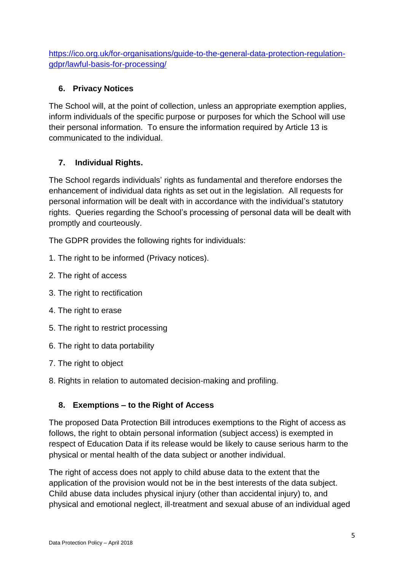[https://ico.org.uk/for-organisations/guide-to-the-general-data-protection-regulation](https://ico.org.uk/for-organisations/guide-to-the-general-data-protection-regulation-gdpr/lawful-basis-for-processing/)[gdpr/lawful-basis-for-processing/](https://ico.org.uk/for-organisations/guide-to-the-general-data-protection-regulation-gdpr/lawful-basis-for-processing/)

## **6. Privacy Notices**

The School will, at the point of collection, unless an appropriate exemption applies, inform individuals of the specific purpose or purposes for which the School will use their personal information. To ensure the information required by Article 13 is communicated to the individual.

## **7. Individual Rights.**

The School regards individuals' rights as fundamental and therefore endorses the enhancement of individual data rights as set out in the legislation. All requests for personal information will be dealt with in accordance with the individual's statutory rights. Queries regarding the School's processing of personal data will be dealt with promptly and courteously.

The GDPR provides the following rights for individuals:

- 1. The right to be informed (Privacy notices).
- 2. The right of access
- 3. The right to rectification
- 4. The right to erase
- 5. The right to restrict processing
- 6. The right to data portability
- 7. The right to object
- 8. Rights in relation to automated decision-making and profiling.

## **8. Exemptions – to the Right of Access**

The proposed Data Protection Bill introduces exemptions to the Right of access as follows, the right to obtain personal information (subject access) is exempted in respect of Education Data if its release would be likely to cause serious harm to the physical or mental health of the data subject or another individual.

The right of access does not apply to child abuse data to the extent that the application of the provision would not be in the best interests of the data subject. Child abuse data includes physical injury (other than accidental injury) to, and physical and emotional neglect, ill-treatment and sexual abuse of an individual aged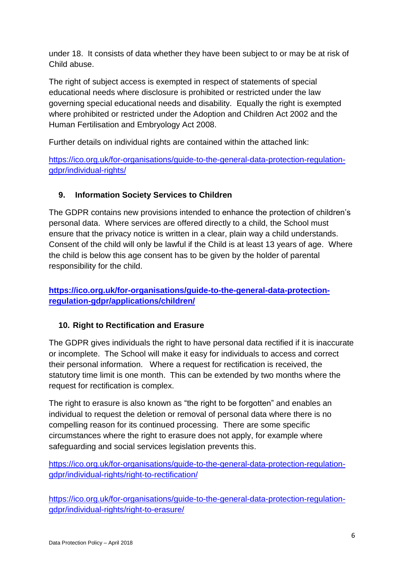under 18. It consists of data whether they have been subject to or may be at risk of Child abuse.

The right of subject access is exempted in respect of statements of special educational needs where disclosure is prohibited or restricted under the law governing special educational needs and disability. Equally the right is exempted where prohibited or restricted under the Adoption and Children Act 2002 and the Human Fertilisation and Embryology Act 2008.

Further details on individual rights are contained within the attached link:

[https://ico.org.uk/for-organisations/guide-to-the-general-data-protection-regulation](https://ico.org.uk/for-organisations/guide-to-the-general-data-protection-regulation-gdpr/individual-rights/)[gdpr/individual-rights/](https://ico.org.uk/for-organisations/guide-to-the-general-data-protection-regulation-gdpr/individual-rights/)

## **9. Information Society Services to Children**

The GDPR contains new provisions intended to enhance the protection of children's personal data. Where services are offered directly to a child, the School must ensure that the privacy notice is written in a clear, plain way a child understands. Consent of the child will only be lawful if the Child is at least 13 years of age. Where the child is below this age consent has to be given by the holder of parental responsibility for the child.

## **[https://ico.org.uk/for-organisations/guide-to-the-general-data-protection](https://ico.org.uk/for-organisations/guide-to-the-general-data-protection-regulation-gdpr/applications/children/)[regulation-gdpr/applications/children/](https://ico.org.uk/for-organisations/guide-to-the-general-data-protection-regulation-gdpr/applications/children/)**

## **10. Right to Rectification and Erasure**

The GDPR gives individuals the right to have personal data rectified if it is inaccurate or incomplete. The School will make it easy for individuals to access and correct their personal information. Where a request for rectification is received, the statutory time limit is one month. This can be extended by two months where the request for rectification is complex.

The right to erasure is also known as "the right to be forgotten" and enables an individual to request the deletion or removal of personal data where there is no compelling reason for its continued processing. There are some specific circumstances where the right to erasure does not apply, for example where safeguarding and social services legislation prevents this.

[https://ico.org.uk/for-organisations/guide-to-the-general-data-protection-regulation](https://ico.org.uk/for-organisations/guide-to-the-general-data-protection-regulation-gdpr/individual-rights/right-to-rectification/)[gdpr/individual-rights/right-to-rectification/](https://ico.org.uk/for-organisations/guide-to-the-general-data-protection-regulation-gdpr/individual-rights/right-to-rectification/)

[https://ico.org.uk/for-organisations/guide-to-the-general-data-protection-regulation](https://ico.org.uk/for-organisations/guide-to-the-general-data-protection-regulation-gdpr/individual-rights/right-to-erasure/)[gdpr/individual-rights/right-to-erasure/](https://ico.org.uk/for-organisations/guide-to-the-general-data-protection-regulation-gdpr/individual-rights/right-to-erasure/)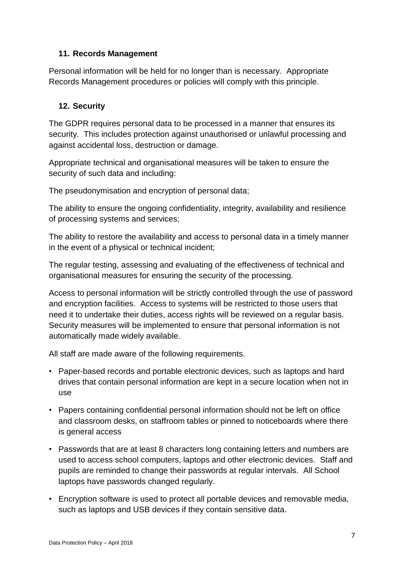#### **11. Records Management**

Personal information will be held for no longer than is necessary. Appropriate Records Management procedures or policies will comply with this principle.

#### **12. Security**

The GDPR requires personal data to be processed in a manner that ensures its security. This includes protection against unauthorised or unlawful processing and against accidental loss, destruction or damage.

Appropriate technical and organisational measures will be taken to ensure the security of such data and including:

The pseudonymisation and encryption of personal data;

The ability to ensure the ongoing confidentiality, integrity, availability and resilience of processing systems and services;

The ability to restore the availability and access to personal data in a timely manner in the event of a physical or technical incident;

The regular testing, assessing and evaluating of the effectiveness of technical and organisational measures for ensuring the security of the processing.

Access to personal information will be strictly controlled through the use of password and encryption facilities. Access to systems will be restricted to those users that need it to undertake their duties, access rights will be reviewed on a regular basis. Security measures will be implemented to ensure that personal information is not automatically made widely available.

All staff are made aware of the following requirements.

- Paper-based records and portable electronic devices, such as laptops and hard drives that contain personal information are kept in a secure location when not in use
- Papers containing confidential personal information should not be left on office and classroom desks, on staffroom tables or pinned to noticeboards where there is general access
- Passwords that are at least 8 characters long containing letters and numbers are used to access school computers, laptops and other electronic devices. Staff and pupils are reminded to change their passwords at regular intervals. All School laptops have passwords changed regularly.
- Encryption software is used to protect all portable devices and removable media, such as laptops and USB devices if they contain sensitive data.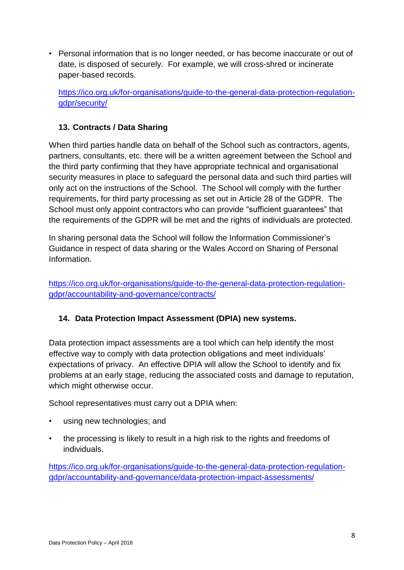• Personal information that is no longer needed, or has become inaccurate or out of date, is disposed of securely. For example, we will cross-shred or incinerate paper-based records.

[https://ico.org.uk/for-organisations/guide-to-the-general-data-protection-regulation](https://ico.org.uk/for-organisations/guide-to-the-general-data-protection-regulation-gdpr/security/)[gdpr/security/](https://ico.org.uk/for-organisations/guide-to-the-general-data-protection-regulation-gdpr/security/)

#### **13. Contracts / Data Sharing**

When third parties handle data on behalf of the School such as contractors, agents, partners, consultants, etc. there will be a written agreement between the School and the third party confirming that they have appropriate technical and organisational security measures in place to safeguard the personal data and such third parties will only act on the instructions of the School. The School will comply with the further requirements, for third party processing as set out in Article 28 of the GDPR. The School must only appoint contractors who can provide "sufficient guarantees" that the requirements of the GDPR will be met and the rights of individuals are protected.

In sharing personal data the School will follow the Information Commissioner's Guidance in respect of data sharing or the Wales Accord on Sharing of Personal Information.

[https://ico.org.uk/for-organisations/guide-to-the-general-data-protection-regulation](https://ico.org.uk/for-organisations/guide-to-the-general-data-protection-regulation-gdpr/accountability-and-governance/contracts/)[gdpr/accountability-and-governance/contracts/](https://ico.org.uk/for-organisations/guide-to-the-general-data-protection-regulation-gdpr/accountability-and-governance/contracts/)

#### **14. Data Protection Impact Assessment (DPIA) new systems.**

Data protection impact assessments are a tool which can help identify the most effective way to comply with data protection obligations and meet individuals' expectations of privacy. An effective DPIA will allow the School to identify and fix problems at an early stage, reducing the associated costs and damage to reputation, which might otherwise occur.

School representatives must carry out a DPIA when:

- using new technologies; and
- the processing is likely to result in a high risk to the rights and freedoms of individuals.

[https://ico.org.uk/for-organisations/guide-to-the-general-data-protection-regulation](https://ico.org.uk/for-organisations/guide-to-the-general-data-protection-regulation-gdpr/accountability-and-governance/data-protection-impact-assessments/)[gdpr/accountability-and-governance/data-protection-impact-assessments/](https://ico.org.uk/for-organisations/guide-to-the-general-data-protection-regulation-gdpr/accountability-and-governance/data-protection-impact-assessments/)